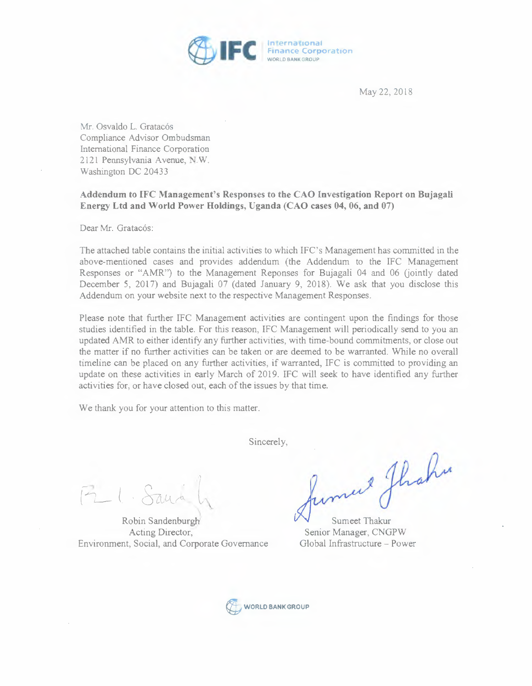

May 22, 2018

Mr. Osvaldo L. Gratacós Compliance Advisor Ombudsman International Finance Corporation 2121 Pennsylvania Avenue, N.W. Washington DC 20433

## **Addendum to IFC Management's Responses to the CAO Investigation Report on Bujagali Energy Ltd and World Power Holdings, Uganda (CAO cases 04, 06, and** 07)

Dear Mr. Gratacós:

The attached table contains the initial activities to which IFC's Management has committed in the above-mentioned cases and provides addendum (the Addendum to the IFC Management Responses or "AMR") to the Management Reponses for Bujagali 04 and 06 (jointly dated December 5, 2017) and Bujagali 07 (dated January 9, 2018). We ask that you disclose this Addendum on your website next to the respective Management Responses.

Please note that further IFC Management activities are contingent upon the findings for those studies identified in the table. For this reason, IFC Management will periodically send to you an updated AMR to either identify any further activities, with time-bound commitments, or close out the matter if no further activities can be taken or are deemed to be warranted. While no overall timeline can be placed on any further activities, if warranted, IFC is committed to providing an update on these activities in early March of 2019. IFC will seek to have identified any further activities for, or have closed out, each of the issues by that time.

We thank you for your attention to this matter.

Sincerely,

 $F_L \cdot Sa$ 

Robin Sandenburgh Acting Director, Environment, Social, and Corporate Governance

mul ghahu

Senior Manager, CNGPW Global Infrastructure - Power